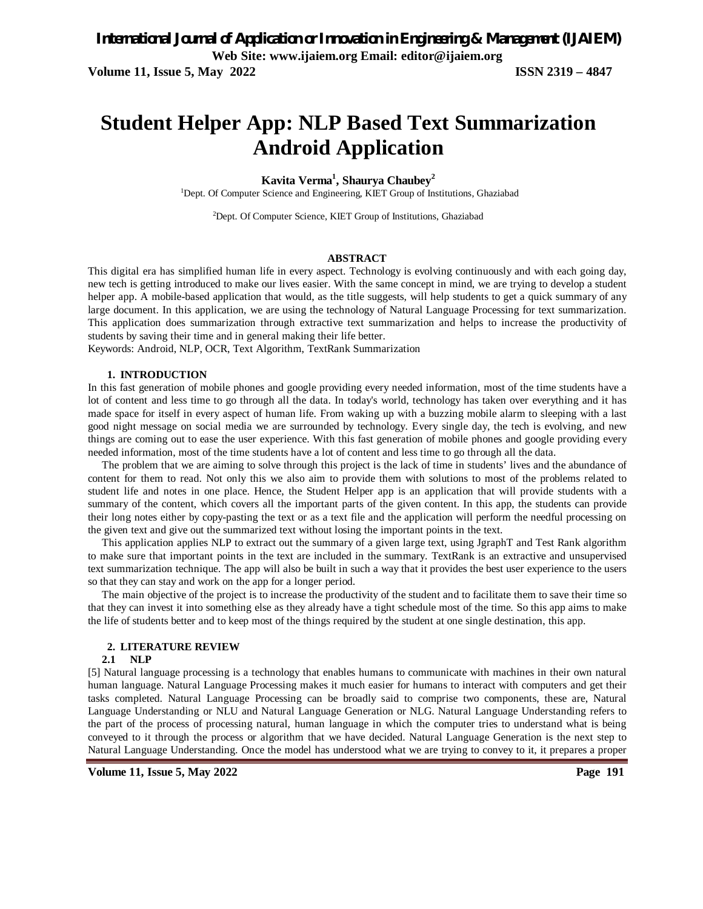# **Student Helper App: NLP Based Text Summarization Android Application**

### **Kavita Verma<sup>1</sup> , Shaurya Chaubey<sup>2</sup>**

<sup>1</sup>Dept. Of Computer Science and Engineering, KIET Group of Institutions, Ghaziabad

2Dept. Of Computer Science, KIET Group of Institutions, Ghaziabad

#### **ABSTRACT**

This digital era has simplified human life in every aspect. Technology is evolving continuously and with each going day, new tech is getting introduced to make our lives easier. With the same concept in mind, we are trying to develop a student helper app. A mobile-based application that would, as the title suggests, will help students to get a quick summary of any large document. In this application, we are using the technology of Natural Language Processing for text summarization. This application does summarization through extractive text summarization and helps to increase the productivity of students by saving their time and in general making their life better.

Keywords: Android, NLP, OCR, Text Algorithm, TextRank Summarization

#### **1. INTRODUCTION**

In this fast generation of mobile phones and google providing every needed information, most of the time students have a lot of content and less time to go through all the data. In today's world, technology has taken over everything and it has made space for itself in every aspect of human life. From waking up with a buzzing mobile alarm to sleeping with a last good night message on social media we are surrounded by technology. Every single day, the tech is evolving, and new things are coming out to ease the user experience. With this fast generation of mobile phones and google providing every needed information, most of the time students have a lot of content and less time to go through all the data.

 The problem that we are aiming to solve through this project is the lack of time in students' lives and the abundance of content for them to read. Not only this we also aim to provide them with solutions to most of the problems related to student life and notes in one place. Hence, the Student Helper app is an application that will provide students with a summary of the content, which covers all the important parts of the given content. In this app, the students can provide their long notes either by copy-pasting the text or as a text file and the application will perform the needful processing on the given text and give out the summarized text without losing the important points in the text.

 This application applies NLP to extract out the summary of a given large text, using JgraphT and Test Rank algorithm to make sure that important points in the text are included in the summary. TextRank is an extractive and unsupervised text summarization technique. The app will also be built in such a way that it provides the best user experience to the users so that they can stay and work on the app for a longer period.

 The main objective of the project is to increase the productivity of the student and to facilitate them to save their time so that they can invest it into something else as they already have a tight schedule most of the time. So this app aims to make the life of students better and to keep most of the things required by the student at one single destination, this app.

#### **2. LITERATURE REVIEW**

#### **2.1 NLP**

[5] Natural language processing is a technology that enables humans to communicate with machines in their own natural human language. Natural Language Processing makes it much easier for humans to interact with computers and get their tasks completed. Natural Language Processing can be broadly said to comprise two components, these are, Natural Language Understanding or NLU and Natural Language Generation or NLG. Natural Language Understanding refers to the part of the process of processing natural, human language in which the computer tries to understand what is being conveyed to it through the process or algorithm that we have decided. Natural Language Generation is the next step to Natural Language Understanding. Once the model has understood what we are trying to convey to it, it prepares a proper

**Volume 11, Issue 5, May 2022 Page 191**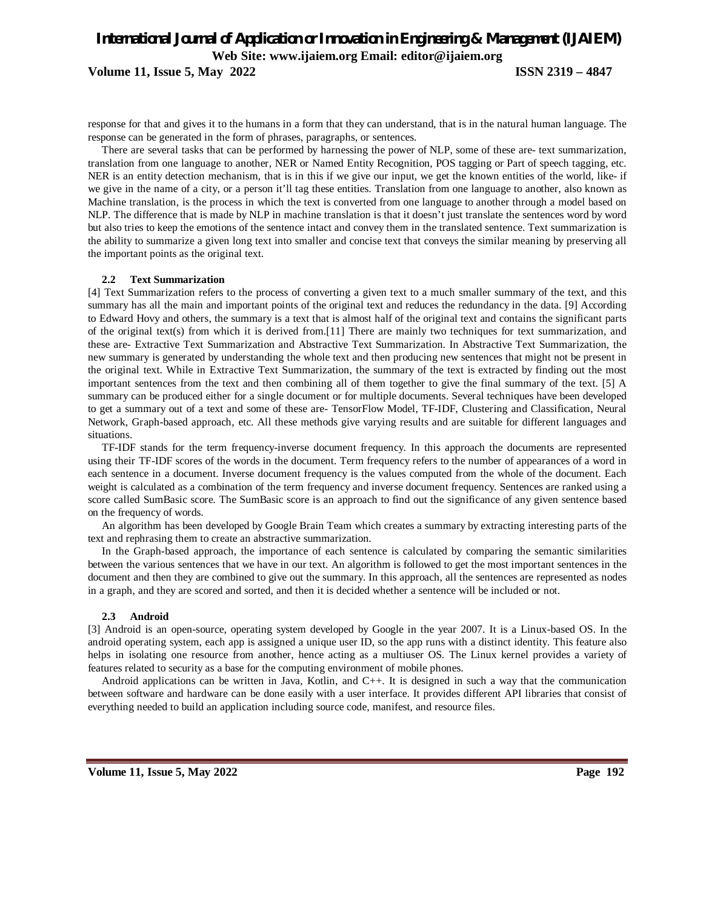### *International Journal of Application or Innovation in Engineering & Management (IJAIEM)* **Web Site: www.ijaiem.org Email: editor@ijaiem.org Volume 11, Issue 5, May 2022 ISSN 2319 – 4847**

response for that and gives it to the humans in a form that they can understand, that is in the natural human language. The response can be generated in the form of phrases, paragraphs, or sentences.

 There are several tasks that can be performed by harnessing the power of NLP, some of these are- text summarization, translation from one language to another, NER or Named Entity Recognition, POS tagging or Part of speech tagging, etc. NER is an entity detection mechanism, that is in this if we give our input, we get the known entities of the world, like- if we give in the name of a city, or a person it'll tag these entities. Translation from one language to another, also known as Machine translation, is the process in which the text is converted from one language to another through a model based on NLP. The difference that is made by NLP in machine translation is that it doesn't just translate the sentences word by word but also tries to keep the emotions of the sentence intact and convey them in the translated sentence. Text summarization is the ability to summarize a given long text into smaller and concise text that conveys the similar meaning by preserving all the important points as the original text.

### **2.2 Text Summarization**

[4] Text Summarization refers to the process of converting a given text to a much smaller summary of the text, and this summary has all the main and important points of the original text and reduces the redundancy in the data. [9] According to Edward Hovy and others, the summary is a text that is almost half of the original text and contains the significant parts of the original text(s) from which it is derived from.[11] There are mainly two techniques for text summarization, and these are- Extractive Text Summarization and Abstractive Text Summarization. In Abstractive Text Summarization, the new summary is generated by understanding the whole text and then producing new sentences that might not be present in the original text. While in Extractive Text Summarization, the summary of the text is extracted by finding out the most important sentences from the text and then combining all of them together to give the final summary of the text. [5] A summary can be produced either for a single document or for multiple documents. Several techniques have been developed to get a summary out of a text and some of these are- TensorFlow Model, TF-IDF, Clustering and Classification, Neural Network, Graph-based approach, etc. All these methods give varying results and are suitable for different languages and situations.

 TF-IDF stands for the term frequency-inverse document frequency. In this approach the documents are represented using their TF-IDF scores of the words in the document. Term frequency refers to the number of appearances of a word in each sentence in a document. Inverse document frequency is the values computed from the whole of the document. Each weight is calculated as a combination of the term frequency and inverse document frequency. Sentences are ranked using a score called SumBasic score. The SumBasic score is an approach to find out the significance of any given sentence based on the frequency of words.

 An algorithm has been developed by Google Brain Team which creates a summary by extracting interesting parts of the text and rephrasing them to create an abstractive summarization.

 In the Graph-based approach, the importance of each sentence is calculated by comparing the semantic similarities between the various sentences that we have in our text. An algorithm is followed to get the most important sentences in the document and then they are combined to give out the summary. In this approach, all the sentences are represented as nodes in a graph, and they are scored and sorted, and then it is decided whether a sentence will be included or not.

#### **2.3 Android**

[3] Android is an open-source, operating system developed by Google in the year 2007. It is a Linux-based OS. In the android operating system, each app is assigned a unique user ID, so the app runs with a distinct identity. This feature also helps in isolating one resource from another, hence acting as a multiuser OS. The Linux kernel provides a variety of features related to security as a base for the computing environment of mobile phones.

 Android applications can be written in Java, Kotlin, and C++. It is designed in such a way that the communication between software and hardware can be done easily with a user interface. It provides different API libraries that consist of everything needed to build an application including source code, manifest, and resource files.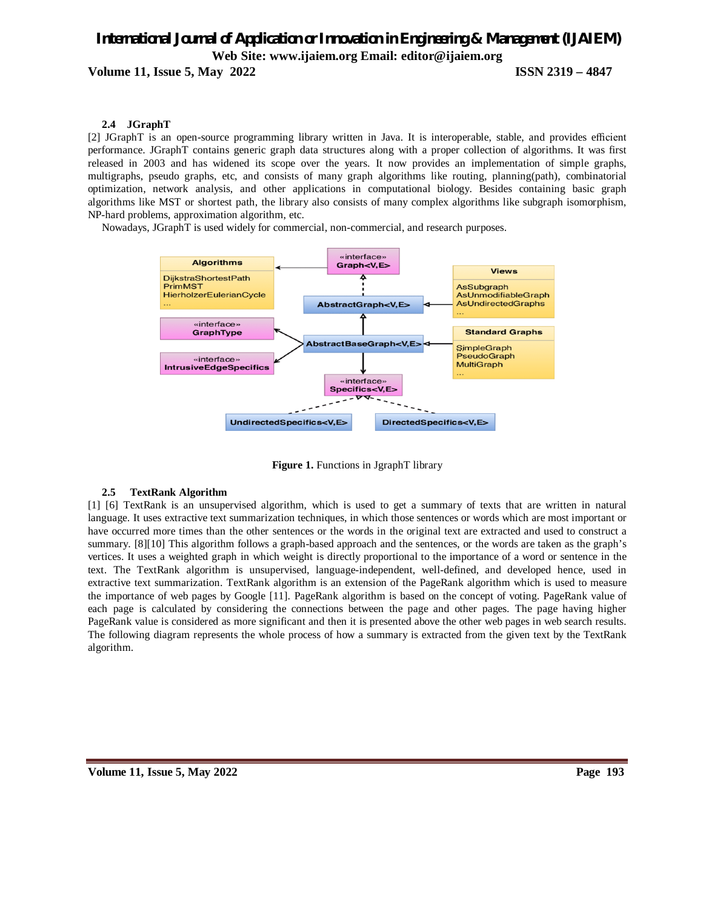**Volume 11, Issue 5, May 2022 ISSN 2319 – 4847**

### **2.4 JGraphT**

[2] JGraphT is an open-source programming library written in Java. It is interoperable, stable, and provides efficient performance. JGraphT contains generic graph data structures along with a proper collection of algorithms. It was first released in 2003 and has widened its scope over the years. It now provides an implementation of simple graphs, multigraphs, pseudo graphs, etc, and consists of many graph algorithms like routing, planning(path), combinatorial optimization, network analysis, and other applications in computational biology. Besides containing basic graph algorithms like MST or shortest path, the library also consists of many complex algorithms like subgraph isomorphism, NP-hard problems, approximation algorithm, etc.

Nowadays, JGraphT is used widely for commercial, non-commercial, and research purposes.



**Figure 1.** Functions in JgraphT library

### **2.5 TextRank Algorithm**

[1] [6] TextRank is an unsupervised algorithm, which is used to get a summary of texts that are written in natural language. It uses extractive text summarization techniques, in which those sentences or words which are most important or have occurred more times than the other sentences or the words in the original text are extracted and used to construct a summary. [8][10] This algorithm follows a graph-based approach and the sentences, or the words are taken as the graph's vertices. It uses a weighted graph in which weight is directly proportional to the importance of a word or sentence in the text. The TextRank algorithm is unsupervised, language-independent, well-defined, and developed hence, used in extractive text summarization. TextRank algorithm is an extension of the PageRank algorithm which is used to measure the importance of web pages by Google [11]. PageRank algorithm is based on the concept of voting. PageRank value of each page is calculated by considering the connections between the page and other pages. The page having higher PageRank value is considered as more significant and then it is presented above the other web pages in web search results. The following diagram represents the whole process of how a summary is extracted from the given text by the TextRank algorithm.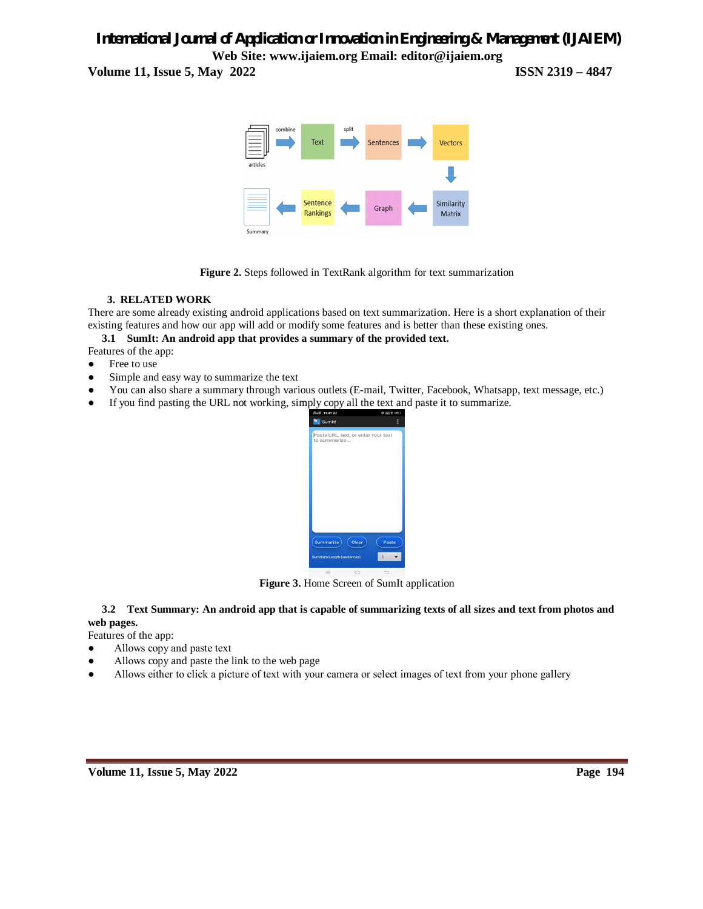**Volume 11, Issue 5, May 2022 ISSN 2319 – 4847**



**Figure 2.** Steps followed in TextRank algorithm for text summarization

### **3. RELATED WORK**

There are some already existing android applications based on text summarization. Here is a short explanation of their existing features and how our app will add or modify some features and is better than these existing ones.

 **3.1 SumIt: An android app that provides a summary of the provided text.**

Features of the app:

- Free to use
- Simple and easy way to summarize the text
- You can also share a summary through various outlets (E-mail, Twitter, Facebook, Whatsapp, text message, etc.)
- If you find pasting the URL not working, simply copy all the text and paste it to summarize.



**Figure 3.** Home Screen of SumIt application

### **3.2 Text Summary: An android app that is capable of summarizing texts of all sizes and text from photos and web pages.**

Features of the app:

- Allows copy and paste text
- Allows copy and paste the link to the web page
- Allows either to click a picture of text with your camera or select images of text from your phone gallery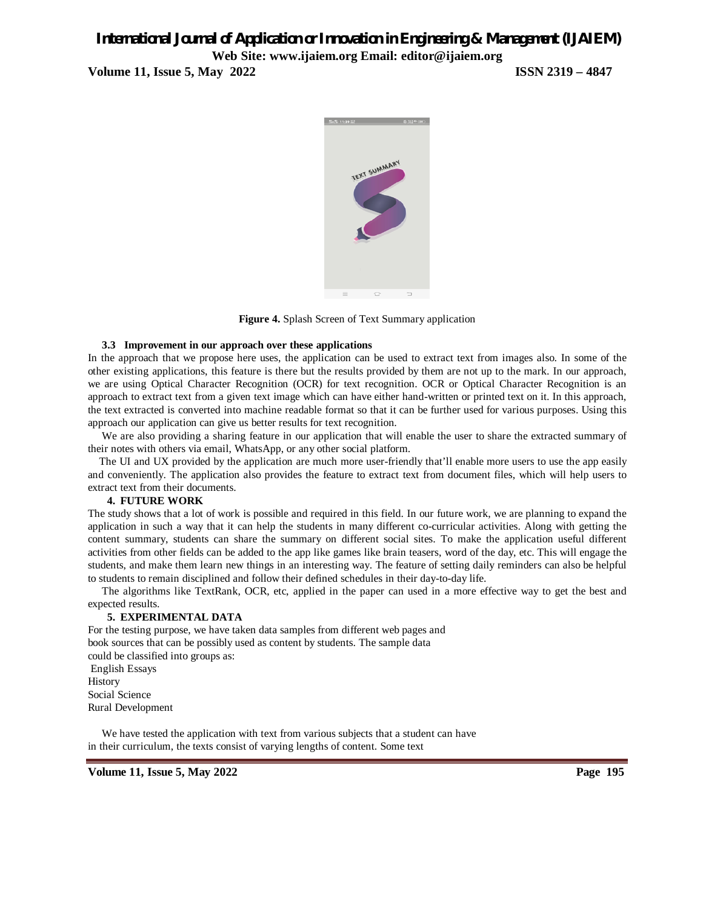**Volume 11, Issue 5, May 2022 ISSN 2319 – 4847**



**Figure 4.** Splash Screen of Text Summary application

### **3.3 Improvement in our approach over these applications**

In the approach that we propose here uses, the application can be used to extract text from images also. In some of the other existing applications, this feature is there but the results provided by them are not up to the mark. In our approach, we are using Optical Character Recognition (OCR) for text recognition. OCR or Optical Character Recognition is an approach to extract text from a given text image which can have either hand-written or printed text on it. In this approach, the text extracted is converted into machine readable format so that it can be further used for various purposes. Using this approach our application can give us better results for text recognition.

 We are also providing a sharing feature in our application that will enable the user to share the extracted summary of their notes with others via email, WhatsApp, or any other social platform.

 The UI and UX provided by the application are much more user-friendly that'll enable more users to use the app easily and conveniently. The application also provides the feature to extract text from document files, which will help users to extract text from their documents.

### **4. FUTURE WORK**

The study shows that a lot of work is possible and required in this field. In our future work, we are planning to expand the application in such a way that it can help the students in many different co-curricular activities. Along with getting the content summary, students can share the summary on different social sites. To make the application useful different activities from other fields can be added to the app like games like brain teasers, word of the day, etc. This will engage the students, and make them learn new things in an interesting way. The feature of setting daily reminders can also be helpful to students to remain disciplined and follow their defined schedules in their day-to-day life.

 The algorithms like TextRank, OCR, etc, applied in the paper can used in a more effective way to get the best and expected results.

### **5. EXPERIMENTAL DATA**

For the testing purpose, we have taken data samples from different web pages and book sources that can be possibly used as content by students. The sample data could be classified into groups as: English Essays **History** Social Science Rural Development

 We have tested the application with text from various subjects that a student can have in their curriculum, the texts consist of varying lengths of content. Some text